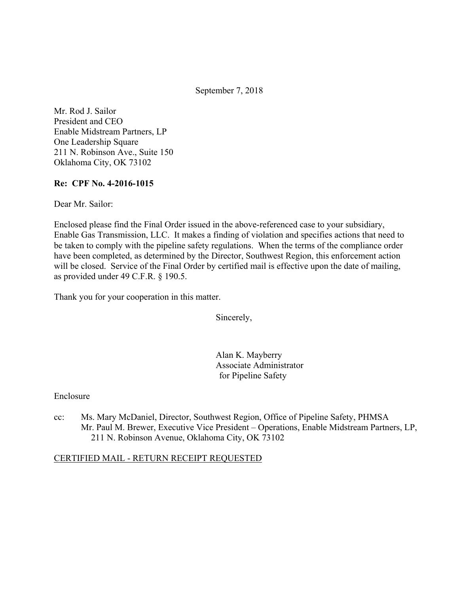September 7, 2018

Mr. Rod J. Sailor President and CEO Enable Midstream Partners, LP One Leadership Square 211 N. Robinson Ave., Suite 150 Oklahoma City, OK 73102

#### **Re: CPF No. 4-2016-1015**

Dear Mr. Sailor:

Enclosed please find the Final Order issued in the above-referenced case to your subsidiary, Enable Gas Transmission, LLC. It makes a finding of violation and specifies actions that need to be taken to comply with the pipeline safety regulations. When the terms of the compliance order have been completed, as determined by the Director, Southwest Region, this enforcement action will be closed. Service of the Final Order by certified mail is effective upon the date of mailing, as provided under 49 C.F.R. § 190.5.

Thank you for your cooperation in this matter.

Sincerely,

Alan K. Mayberry Associate Administrator for Pipeline Safety

#### Enclosure

cc: Ms. Mary McDaniel, Director, Southwest Region, Office of Pipeline Safety, PHMSA Mr. Paul M. Brewer, Executive Vice President – Operations, Enable Midstream Partners, LP, 211 N. Robinson Avenue, Oklahoma City, OK 73102

#### CERTIFIED MAIL - RETURN RECEIPT REQUESTED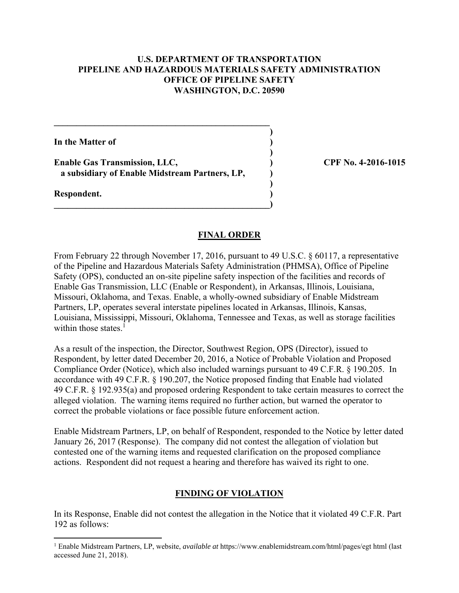### **U.S. DEPARTMENT OF TRANSPORTATION PIPELINE AND HAZARDOUS MATERIALS SAFETY ADMINISTRATION OFFICE OF PIPELINE SAFETY WASHINGTON, D.C. 20590**

**)**

 **)**

**)**

**In the Matter of )**

**Enable Gas Transmission, LLC, ) CPF No. 4-2016-1015 a subsidiary of Enable Midstream Partners, LP, )** 

 $\mathcal{L} = \{ \mathcal{L} \}$ 

**\_\_\_\_\_\_\_\_\_\_\_\_\_\_\_\_\_\_\_\_\_\_\_\_\_\_\_\_\_\_\_\_\_\_\_\_\_\_\_\_\_\_\_\_\_\_\_\_)** 

**Respondent. )** 

 $\overline{a}$ 

#### **FINAL ORDER**

From February 22 through November 17, 2016, pursuant to 49 U.S.C. § 60117, a representative of the Pipeline and Hazardous Materials Safety Administration (PHMSA), Office of Pipeline Safety (OPS), conducted an on-site pipeline safety inspection of the facilities and records of Enable Gas Transmission, LLC (Enable or Respondent), in Arkansas, Illinois, Louisiana, Missouri, Oklahoma, and Texas. Enable, a wholly-owned subsidiary of Enable Midstream Partners, LP, operates several interstate pipelines located in Arkansas, Illinois, Kansas, Louisiana, Mississippi, Missouri, Oklahoma, Tennessee and Texas, as well as storage facilities within those states.<sup>1</sup>

As a result of the inspection, the Director, Southwest Region, OPS (Director), issued to Respondent, by letter dated December 20, 2016, a Notice of Probable Violation and Proposed Compliance Order (Notice), which also included warnings pursuant to 49 C.F.R. § 190.205. In accordance with 49 C.F.R. § 190.207, the Notice proposed finding that Enable had violated 49 C.F.R. § 192.935(a) and proposed ordering Respondent to take certain measures to correct the alleged violation. The warning items required no further action, but warned the operator to correct the probable violations or face possible future enforcement action.

Enable Midstream Partners, LP, on behalf of Respondent, responded to the Notice by letter dated January 26, 2017 (Response). The company did not contest the allegation of violation but contested one of the warning items and requested clarification on the proposed compliance actions. Respondent did not request a hearing and therefore has waived its right to one.

## **FINDING OF VIOLATION**

In its Response, Enable did not contest the allegation in the Notice that it violated 49 C.F.R. Part 192 as follows:

<sup>1</sup> Enable Midstream Partners, LP, website, *available at* https://www.enablemidstream.com/html/pages/egt html (last accessed June 21, 2018).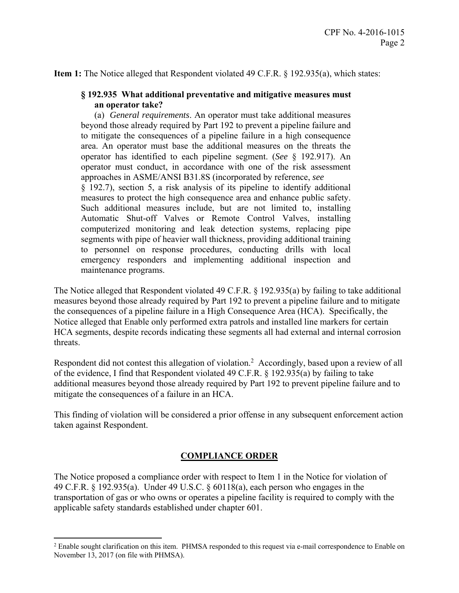**Item 1:** The Notice alleged that Respondent violated 49 C.F.R. § 192.935(a), which states:

### **§ 192.935 What additional preventative and mitigative measures must an operator take?**

 area. An operator must base the additional measures on the threats the operator has identified to each pipeline segment. (*See* § 192.917). An approaches in ASME/ANSI B31.8S (incorporated by reference, *see*  computerized monitoring and leak detection systems, replacing pipe (a) *General requirements*. An operator must take additional measures beyond those already required by Part 192 to prevent a pipeline failure and to mitigate the consequences of a pipeline failure in a high consequence operator must conduct, in accordance with one of the risk assessment § 192.7), section 5, a risk analysis of its pipeline to identify additional measures to protect the high consequence area and enhance public safety. Such additional measures include, but are not limited to, installing Automatic Shut-off Valves or Remote Control Valves, installing segments with pipe of heavier wall thickness, providing additional training to personnel on response procedures, conducting drills with local emergency responders and implementing additional inspection and maintenance programs.

The Notice alleged that Respondent violated 49 C.F.R. § 192.935(a) by failing to take additional measures beyond those already required by Part 192 to prevent a pipeline failure and to mitigate the consequences of a pipeline failure in a High Consequence Area (HCA). Specifically, the Notice alleged that Enable only performed extra patrols and installed line markers for certain HCA segments, despite records indicating these segments all had external and internal corrosion threats.

Respondent did not contest this allegation of violation.<sup>2</sup> Accordingly, based upon a review of all of the evidence, I find that Respondent violated 49 C.F.R. § 192.935(a) by failing to take additional measures beyond those already required by Part 192 to prevent pipeline failure and to mitigate the consequences of a failure in an HCA.

This finding of violation will be considered a prior offense in any subsequent enforcement action taken against Respondent.

#### **COMPLIANCE ORDER**

The Notice proposed a compliance order with respect to Item 1 in the Notice for violation of 49 C.F.R. § 192.935(a). Under 49 U.S.C. § 60118(a), each person who engages in the transportation of gas or who owns or operates a pipeline facility is required to comply with the applicable safety standards established under chapter 601.

 $\overline{a}$ 

 November 13, 2017 (on file with PHMSA).<sup>2</sup> Enable sought clarification on this item. PHMSA responded to this request via e-mail correspondence to Enable on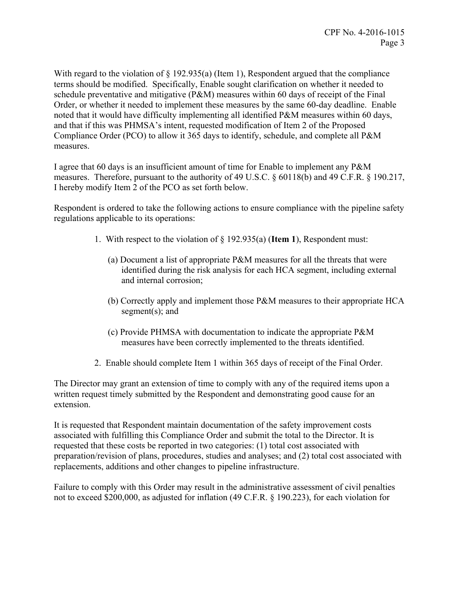With regard to the violation of § 192.935(a) (Item 1), Respondent argued that the compliance terms should be modified. Specifically, Enable sought clarification on whether it needed to schedule preventative and mitigative (P&M) measures within 60 days of receipt of the Final Order, or whether it needed to implement these measures by the same 60-day deadline. Enable noted that it would have difficulty implementing all identified P&M measures within 60 days, and that if this was PHMSA's intent, requested modification of Item 2 of the Proposed Compliance Order (PCO) to allow it 365 days to identify, schedule, and complete all P&M measures.

I agree that 60 days is an insufficient amount of time for Enable to implement any P&M measures. Therefore, pursuant to the authority of 49 U.S.C. § 60118(b) and 49 C.F.R. § 190.217, I hereby modify Item 2 of the PCO as set forth below.

Respondent is ordered to take the following actions to ensure compliance with the pipeline safety regulations applicable to its operations:

- 1. With respect to the violation of § 192.935(a) (**Item 1**), Respondent must:
	- (a) Document a list of appropriate P&M measures for all the threats that were identified during the risk analysis for each HCA segment, including external and internal corrosion;
	- (b) Correctly apply and implement those P&M measures to their appropriate HCA segment(s); and
	- (c) Provide PHMSA with documentation to indicate the appropriate P&M measures have been correctly implemented to the threats identified.
- 2. Enable should complete Item 1 within 365 days of receipt of the Final Order.

The Director may grant an extension of time to comply with any of the required items upon a written request timely submitted by the Respondent and demonstrating good cause for an extension.

It is requested that Respondent maintain documentation of the safety improvement costs associated with fulfilling this Compliance Order and submit the total to the Director. It is requested that these costs be reported in two categories: (1) total cost associated with preparation/revision of plans, procedures, studies and analyses; and (2) total cost associated with replacements, additions and other changes to pipeline infrastructure.

Failure to comply with this Order may result in the administrative assessment of civil penalties not to exceed \$200,000, as adjusted for inflation (49 C.F.R. § 190.223), for each violation for